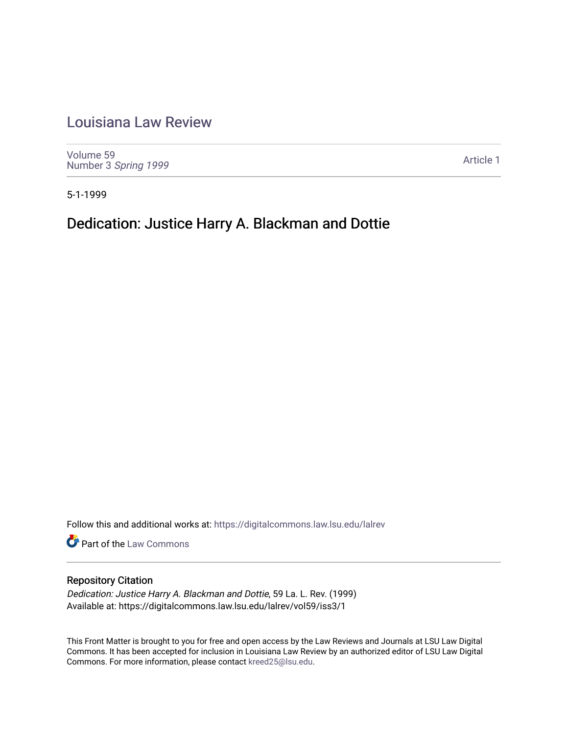## [Louisiana Law Review](https://digitalcommons.law.lsu.edu/lalrev)

[Volume 59](https://digitalcommons.law.lsu.edu/lalrev/vol59) Number 3 [Spring 1999](https://digitalcommons.law.lsu.edu/lalrev/vol59/iss3) 

[Article 1](https://digitalcommons.law.lsu.edu/lalrev/vol59/iss3/1) 

5-1-1999

## Dedication: Justice Harry A. Blackman and Dottie

Follow this and additional works at: [https://digitalcommons.law.lsu.edu/lalrev](https://digitalcommons.law.lsu.edu/lalrev?utm_source=digitalcommons.law.lsu.edu%2Flalrev%2Fvol59%2Fiss3%2F1&utm_medium=PDF&utm_campaign=PDFCoverPages)

Part of the [Law Commons](https://network.bepress.com/hgg/discipline/578?utm_source=digitalcommons.law.lsu.edu%2Flalrev%2Fvol59%2Fiss3%2F1&utm_medium=PDF&utm_campaign=PDFCoverPages)

## Repository Citation

Dedication: Justice Harry A. Blackman and Dottie, 59 La. L. Rev. (1999) Available at: https://digitalcommons.law.lsu.edu/lalrev/vol59/iss3/1

This Front Matter is brought to you for free and open access by the Law Reviews and Journals at LSU Law Digital Commons. It has been accepted for inclusion in Louisiana Law Review by an authorized editor of LSU Law Digital Commons. For more information, please contact [kreed25@lsu.edu](mailto:kreed25@lsu.edu).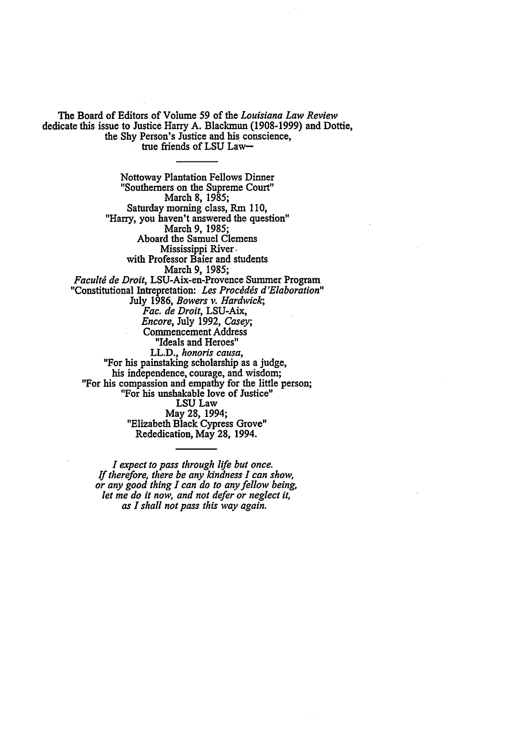The Board of Editors of Volume **59** of the Louisiana *Law Review*  dedicate this issue to Justice Harry **A.** Blackmun **(1908-1999)** and Dottie, the **Shy** Person's Justice and his conscience, true friends of **LSU** Law-

Nottoway Plantation Fellows Dinner "Southerners on the Supreme Court" March **8, 1985;**  Saturday morning class, Rm 110, "Harry, you haven't answered the question" March 9, 1985; Aboard the Samuel Clemens Mississippi River. with Professor Baier and students March **9, 1985;**  *Facult6de Droit,*LSU-Aix-en-Provence Summer Program "Constitutional Intrepretation: *Les Procdddsd'Elaboration"*  July **1986,** *Bowers v. Hardwick; Fac.de Droit,*LSU-Aix, *Encore,* July **1992,** *Casey;*  Commencement Address "Ideals and Heroes" LL.D., *honoris causa,*  "For his painstaking scholarship as a judge, his independence, courage, and wisdom; "For his compassion and empathy for the little person; "For his unshakable love of Justice" **LSU** Law May **28,** 1994; "Elizabeth Black Cypress Grove" Rededication, May **28,** 1994.

*I expect to pass through life but once. If therefore, there be any kindness I can show, or any good thing I can do to anyfellow being, let me do it now, and not defer or neglect it, as I shallnot pass this way again.*